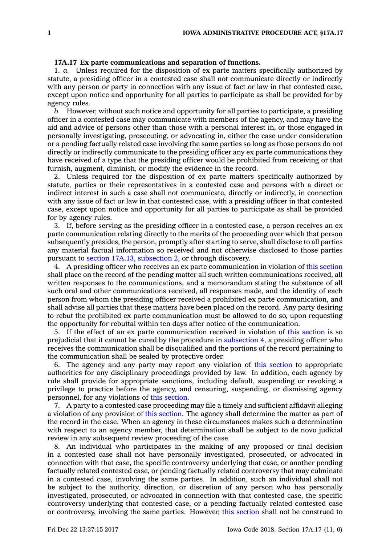## **17A.17 Ex parte communications and separation of functions.**

1. *a.* Unless required for the disposition of ex parte matters specifically authorized by statute, <sup>a</sup> presiding officer in <sup>a</sup> contested case shall not communicate directly or indirectly with any person or party in connection with any issue of fact or law in that contested case, except upon notice and opportunity for all parties to participate as shall be provided for by agency rules.

*b.* However, without such notice and opportunity for all parties to participate, <sup>a</sup> presiding officer in <sup>a</sup> contested case may communicate with members of the agency, and may have the aid and advice of persons other than those with <sup>a</sup> personal interest in, or those engaged in personally investigating, prosecuting, or advocating in, either the case under consideration or <sup>a</sup> pending factually related case involving the same parties so long as those persons do not directly or indirectly communicate to the presiding officer any ex parte communications they have received of <sup>a</sup> type that the presiding officer would be prohibited from receiving or that furnish, augment, diminish, or modify the evidence in the record.

2. Unless required for the disposition of ex parte matters specifically authorized by statute, parties or their representatives in <sup>a</sup> contested case and persons with <sup>a</sup> direct or indirect interest in such <sup>a</sup> case shall not communicate, directly or indirectly, in connection with any issue of fact or law in that contested case, with <sup>a</sup> presiding officer in that contested case, except upon notice and opportunity for all parties to participate as shall be provided for by agency rules.

3. If, before serving as the presiding officer in <sup>a</sup> contested case, <sup>a</sup> person receives an ex parte communication relating directly to the merits of the proceeding over which that person subsequently presides, the person, promptly after starting to serve, shall disclose to all parties any material factual information so received and not otherwise disclosed to those parties pursuant to section 17A.13, [subsection](https://www.legis.iowa.gov/docs/code/17A.13.pdf) 2, or through discovery.

4. A presiding officer who receives an ex parte communication in violation of this [section](https://www.legis.iowa.gov/docs/code/17A.17.pdf) shall place on the record of the pending matter all such written communications received, all written responses to the communications, and <sup>a</sup> memorandum stating the substance of all such oral and other communications received, all responses made, and the identity of each person from whom the presiding officer received <sup>a</sup> prohibited ex parte communication, and shall advise all parties that these matters have been placed on the record. Any party desiring to rebut the prohibited ex parte communication must be allowed to do so, upon requesting the opportunity for rebuttal within ten days after notice of the communication.

5. If the effect of an ex parte communication received in violation of this [section](https://www.legis.iowa.gov/docs/code/17A.17.pdf) is so prejudicial that it cannot be cured by the procedure in [subsection](https://www.legis.iowa.gov/docs/code/17A.17.pdf) 4, <sup>a</sup> presiding officer who receives the communication shall be disqualified and the portions of the record pertaining to the communication shall be sealed by protective order.

6. The agency and any party may report any violation of this [section](https://www.legis.iowa.gov/docs/code/17A.17.pdf) to appropriate authorities for any disciplinary proceedings provided by law. In addition, each agency by rule shall provide for appropriate sanctions, including default, suspending or revoking <sup>a</sup> privilege to practice before the agency, and censuring, suspending, or dismissing agency personnel, for any violations of this [section](https://www.legis.iowa.gov/docs/code/17A.17.pdf).

7. A party to <sup>a</sup> contested case proceeding may file <sup>a</sup> timely and sufficient affidavit alleging <sup>a</sup> violation of any provision of this [section](https://www.legis.iowa.gov/docs/code/17A.17.pdf). The agency shall determine the matter as part of the record in the case. When an agency in these circumstances makes such <sup>a</sup> determination with respect to an agency member, that determination shall be subject to de novo judicial review in any subsequent review proceeding of the case.

8. An individual who participates in the making of any proposed or final decision in <sup>a</sup> contested case shall not have personally investigated, prosecuted, or advocated in connection with that case, the specific controversy underlying that case, or another pending factually related contested case, or pending factually related controversy that may culminate in <sup>a</sup> contested case, involving the same parties. In addition, such an individual shall not be subject to the authority, direction, or discretion of any person who has personally investigated, prosecuted, or advocated in connection with that contested case, the specific controversy underlying that contested case, or <sup>a</sup> pending factually related contested case or controversy, involving the same parties. However, this [section](https://www.legis.iowa.gov/docs/code/17A.17.pdf) shall not be construed to